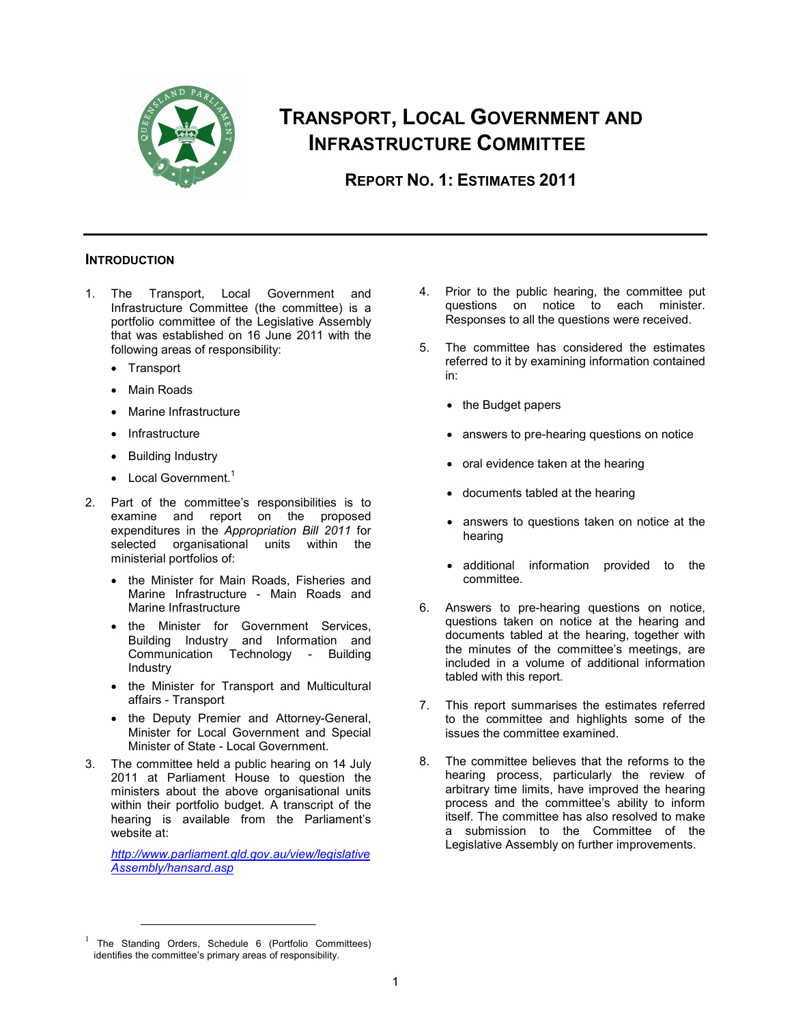

# **TRANSPORT, LOCAL GOVERNMENT AND INFRASTRUCTURE COMMITTEE**

**REPORT NO. 1: ESTIMATES 2011** 

# **INTRODUCTION**

- 1. The Transport, Local Government and Infrastructure Committee (the committee) is a portfolio committee of the Legislative Assembly that was established on 16 June 2011 with the following areas of responsibility:
	- Transport
	- Main Roads
	- Marine Infrastructure
	- **Infrastructure**
	- Building Industry
	- $\bullet$  Local Government.<sup>1</sup>
- 2. Part of the committee's responsibilities is to examine and report on the proposed expenditures in the *Appropriation Bill 2011* for selected organisational units within the ministerial portfolios of:
	- the Minister for Main Roads, Fisheries and Marine Infrastructure - Main Roads and Marine Infrastructure
	- the Minister for Government Services, Building Industry and Information and Communication Technology - Building Industry
	- the Minister for Transport and Multicultural affairs - Transport
	- the Deputy Premier and Attorney-General, Minister for Local Government and Special Minister of State - Local Government.
- 3. The committee held a public hearing on 14 July 2011 at Parliament House to question the ministers about the above organisational units within their portfolio budget. A transcript of the hearing is available from the Parliament's website at:

*http://www.parliament.qld.gov.au/view/legislative Assembly/hansard.asp*

- 4. Prior to the public hearing, the committee put questions on notice to each minister. Responses to all the questions were received.
- 5. The committee has considered the estimates referred to it by examining information contained in:
	- the Budget papers
	- answers to pre-hearing questions on notice
	- oral evidence taken at the hearing
	- documents tabled at the hearing
	- answers to questions taken on notice at the hearing
	- additional information provided to the committee.
- 6. Answers to pre-hearing questions on notice, questions taken on notice at the hearing and documents tabled at the hearing, together with the minutes of the committee's meetings, are included in a volume of additional information tabled with this report.
- 7. This report summarises the estimates referred to the committee and highlights some of the issues the committee examined.
- 8. The committee believes that the reforms to the hearing process, particularly the review of arbitrary time limits, have improved the hearing process and the committee's ability to inform itself. The committee has also resolved to make a submission to the Committee of the Legislative Assembly on further improvements.

<sup>&</sup>lt;sup>1</sup> The Standing Orders, Schedule 6 (Portfolio Committees) identifies the committee's primary areas of responsibility.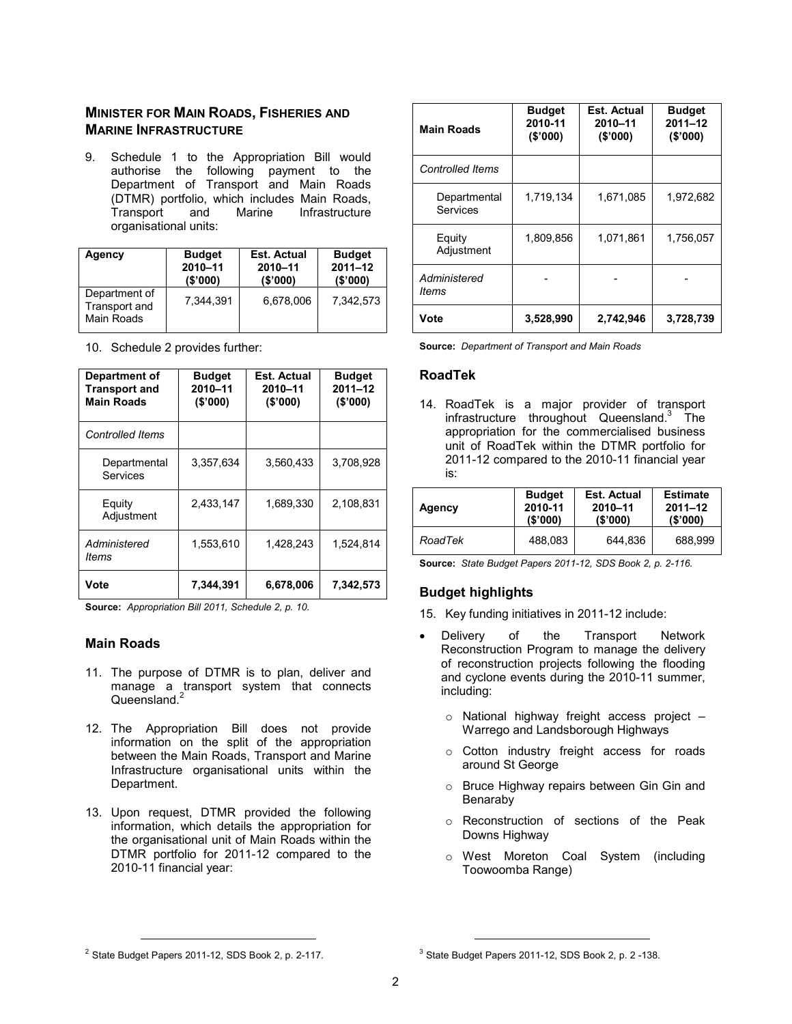# **MINISTER FOR MAIN ROADS, FISHERIES AND MARINE INFRASTRUCTURE**

9. Schedule 1 to the Appropriation Bill would authorise the following payment to the Department of Transport and Main Roads (DTMR) portfolio, which includes Main Roads, **Infrastructure** organisational units:

| Agency                                       | <b>Budget</b> | <b>Est. Actual</b> | <b>Budget</b> |
|----------------------------------------------|---------------|--------------------|---------------|
|                                              | 2010-11       | 2010-11            | $2011 - 12$   |
|                                              | (S'000)       | (\$'000)           | (S'000)       |
| Department of<br>Transport and<br>Main Roads | 7.344.391     | 6.678.006          | 7.342.573     |

| Department of<br><b>Transport and</b><br><b>Main Roads</b> | <b>Budget</b><br>2010-11<br>(\$'000) | Est. Actual<br>2010-11<br>(S'000) | <b>Budget</b><br>$2011 - 12$<br>(\$'000) |
|------------------------------------------------------------|--------------------------------------|-----------------------------------|------------------------------------------|
| <b>Controlled Items</b>                                    |                                      |                                   |                                          |
| Departmental<br>Services                                   | 3.357.634                            | 3,560,433                         | 3,708,928                                |
| Equity<br>Adjustment                                       | 2,433,147                            | 1,689,330                         | 2,108,831                                |
| Administered<br>ltems                                      | 1,553,610                            | 1,428,243                         | 1,524,814                                |
| Vote                                                       | 7,344,391                            | 6,678,006                         | 7,342,573                                |

10. Schedule 2 provides further:

**Source:** *Appropriation Bill 2011, Schedule 2, p. 10.* 

### **Main Roads**

- 11. The purpose of DTMR is to plan, deliver and manage a transport system that connects Queensland. $2$
- 12. The Appropriation Bill does not provide information on the split of the appropriation between the Main Roads, Transport and Marine Infrastructure organisational units within the Department.
- 13. Upon request, DTMR provided the following information, which details the appropriation for the organisational unit of Main Roads within the DTMR portfolio for 2011-12 compared to the 2010-11 financial year:

| <b>Main Roads</b>        | <b>Budget</b><br>2010-11<br>(\$'000) | Est. Actual<br>2010-11<br>(\$'000) | <b>Budget</b><br>$2011 - 12$<br>(\$'000) |
|--------------------------|--------------------------------------|------------------------------------|------------------------------------------|
| <b>Controlled Items</b>  |                                      |                                    |                                          |
| Departmental<br>Services | 1,719,134                            | 1.671.085                          | 1,972,682                                |
| Equity<br>Adjustment     | 1,809,856                            | 1.071.861                          | 1.756.057                                |
| Administered<br>ltems    |                                      |                                    |                                          |
| Vote                     | 3,528,990                            | 2,742,946                          | 3,728,739                                |

**Source:** *Department of Transport and Main Roads*

#### **RoadTek**

14. RoadTek is a major provider of transport infrastructure throughout Queensland.<sup>3</sup> The appropriation for the commercialised business unit of RoadTek within the DTMR portfolio for 2011-12 compared to the 2010-11 financial year is:

| Agency  | <b>Budget</b> | Est. Actual | <b>Estimate</b> |
|---------|---------------|-------------|-----------------|
|         | 2010-11       | 2010-11     | $2011 - 12$     |
|         | (S'000)       | (S'000)     | (S'000)         |
| RoadTek | 488.083       | 644.836     | 688.999         |

**Source:** *State Budget Papers 2011-12, SDS Book 2, p. 2-116.*

# **Budget highlights**

- 15. Key funding initiatives in 2011-12 include:
- Delivery of the Transport Network Reconstruction Program to manage the delivery of reconstruction projects following the flooding and cyclone events during the 2010-11 summer, including:
	- o National highway freight access project Warrego and Landsborough Highways
	- o Cotton industry freight access for roads around St George
	- o Bruce Highway repairs between Gin Gin and Benaraby
	- o Reconstruction of sections of the Peak Downs Highway
	- o West Moreton Coal System (including Toowoomba Range)

l

<sup>2</sup> State Budget Papers 2011-12, SDS Book 2, p. 2-117.

 $3$  State Budget Papers 2011-12, SDS Book 2, p. 2 -138.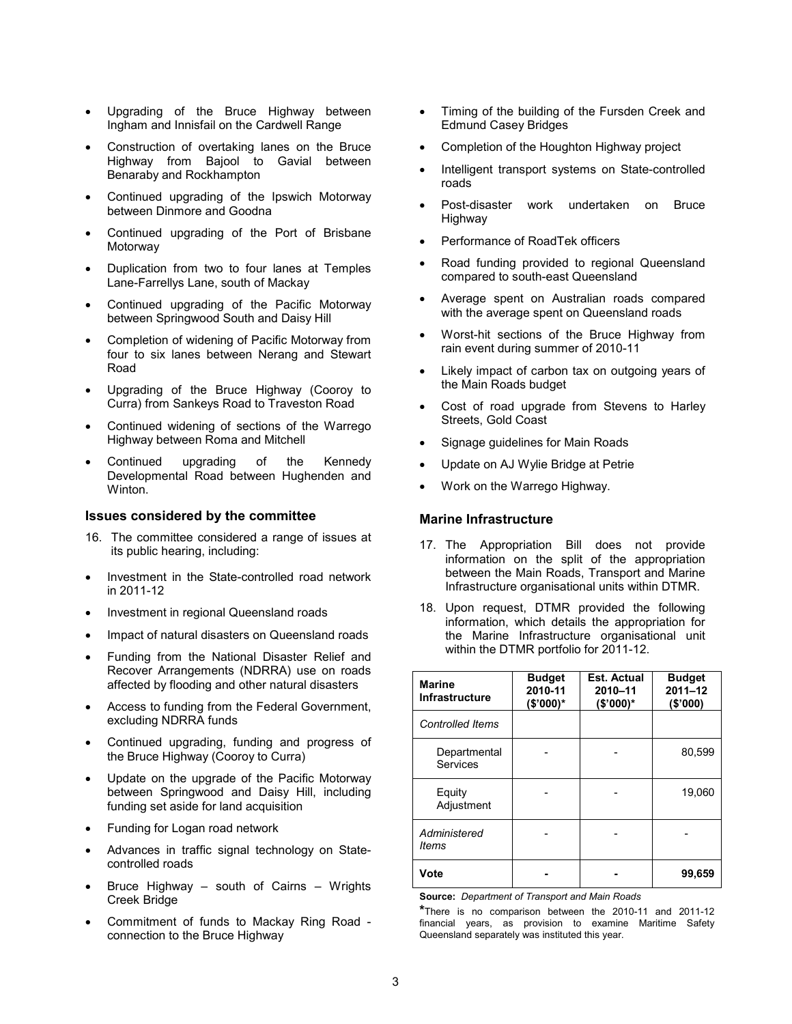- Upgrading of the Bruce Highway between Ingham and Innisfail on the Cardwell Range
- Construction of overtaking lanes on the Bruce Highway from Bajool to Gavial between Benaraby and Rockhampton
- Continued upgrading of the Ipswich Motorway between Dinmore and Goodna
- Continued upgrading of the Port of Brisbane Motorway
- Duplication from two to four lanes at Temples Lane-Farrellys Lane, south of Mackay
- Continued upgrading of the Pacific Motorway between Springwood South and Daisy Hill
- Completion of widening of Pacific Motorway from four to six lanes between Nerang and Stewart Road
- Upgrading of the Bruce Highway (Cooroy to Curra) from Sankeys Road to Traveston Road
- Continued widening of sections of the Warrego Highway between Roma and Mitchell
- Continued upgrading of the Kennedy Developmental Road between Hughenden and Winton.

#### **Issues considered by the committee**

- 16. The committee considered a range of issues at its public hearing, including:
- Investment in the State-controlled road network in 2011-12
- Investment in regional Queensland roads
- Impact of natural disasters on Queensland roads
- Funding from the National Disaster Relief and Recover Arrangements (NDRRA) use on roads affected by flooding and other natural disasters
- Access to funding from the Federal Government, excluding NDRRA funds
- Continued upgrading, funding and progress of the Bruce Highway (Cooroy to Curra)
- Update on the upgrade of the Pacific Motorway between Springwood and Daisy Hill, including funding set aside for land acquisition
- Funding for Logan road network
- Advances in traffic signal technology on Statecontrolled roads
- Bruce Highway south of Cairns Wrights Creek Bridge
- Commitment of funds to Mackay Ring Road connection to the Bruce Highway
- Timing of the building of the Fursden Creek and Edmund Casey Bridges
- Completion of the Houghton Highway project
- Intelligent transport systems on State-controlled roads
- Post-disaster work undertaken on Bruce Highway
- Performance of RoadTek officers
- Road funding provided to regional Queensland compared to south-east Queensland
- Average spent on Australian roads compared with the average spent on Queensland roads
- Worst-hit sections of the Bruce Highway from rain event during summer of 2010-11
- Likely impact of carbon tax on outgoing years of the Main Roads budget
- Cost of road upgrade from Stevens to Harley Streets, Gold Coast
- Signage guidelines for Main Roads
- Update on AJ Wylie Bridge at Petrie
- Work on the Warrego Highway.

### **Marine Infrastructure**

- 17. The Appropriation Bill does not provide information on the split of the appropriation between the Main Roads, Transport and Marine Infrastructure organisational units within DTMR.
- 18. Upon request, DTMR provided the following information, which details the appropriation for the Marine Infrastructure organisational unit within the DTMR portfolio for 2011-12.

| <b>Marine</b><br>Infrastructure | <b>Budget</b><br>2010-11<br>(\$'000)* | <b>Est. Actual</b><br>2010-11<br>$($'000)*$ | <b>Budget</b><br>$2011 - 12$<br>(\$'000) |
|---------------------------------|---------------------------------------|---------------------------------------------|------------------------------------------|
| <b>Controlled Items</b>         |                                       |                                             |                                          |
| Departmental<br>Services        |                                       |                                             | 80,599                                   |
| Equity<br>Adjustment            |                                       |                                             | 19,060                                   |
| Administered<br>ltems           |                                       |                                             |                                          |
| Vote                            |                                       |                                             | 99,659                                   |

**Source:** *Department of Transport and Main Roads*

**\***There is no comparison between the 2010-11 and 2011-12 financial years, as provision to examine Maritime Safety Queensland separately was instituted this year.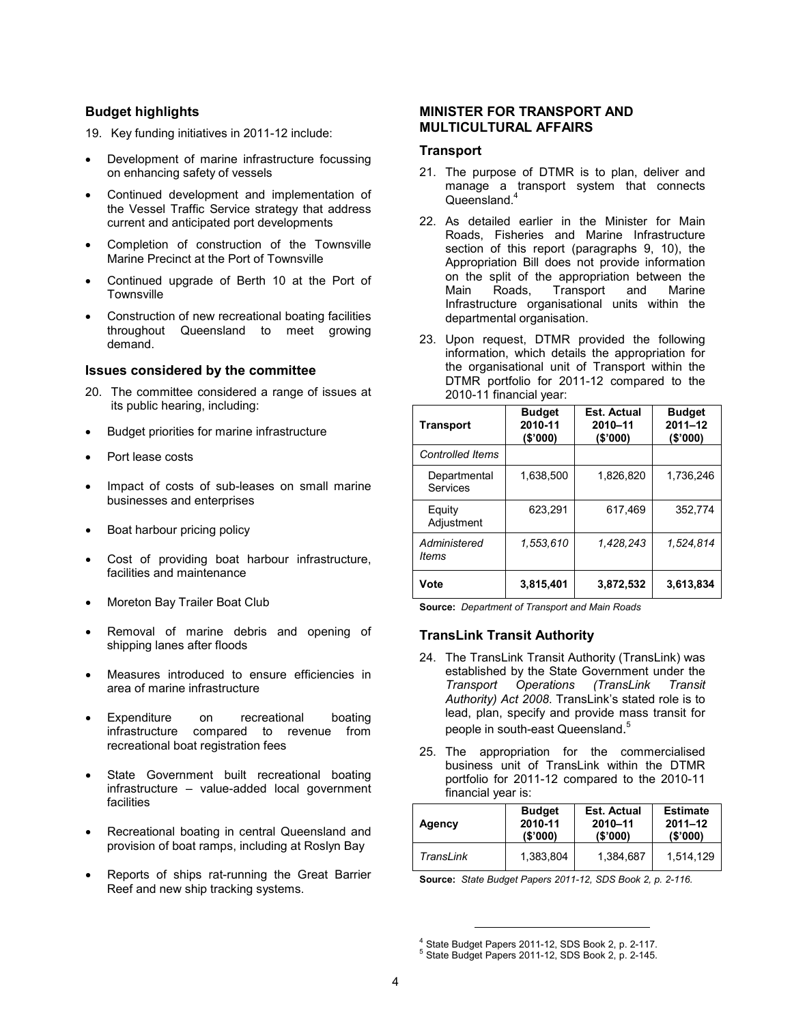### **Budget highlights**

- 19. Key funding initiatives in 2011-12 include:
- Development of marine infrastructure focussing on enhancing safety of vessels
- Continued development and implementation of the Vessel Traffic Service strategy that address current and anticipated port developments
- Completion of construction of the Townsville Marine Precinct at the Port of Townsville
- Continued upgrade of Berth 10 at the Port of **Townsville**
- Construction of new recreational boating facilities throughout Queensland to meet growing demand.

#### **Issues considered by the committee**

- 20. The committee considered a range of issues at its public hearing, including:
- Budget priorities for marine infrastructure
- Port lease costs
- Impact of costs of sub-leases on small marine businesses and enterprises
- Boat harbour pricing policy
- Cost of providing boat harbour infrastructure, facilities and maintenance
- Moreton Bay Trailer Boat Club
- Removal of marine debris and opening of shipping lanes after floods
- Measures introduced to ensure efficiencies in area of marine infrastructure
- Expenditure on recreational boating infrastructure compared to revenue from recreational boat registration fees
- State Government built recreational boating infrastructure – value-added local government facilities
- Recreational boating in central Queensland and provision of boat ramps, including at Roslyn Bay
- Reports of ships rat-running the Great Barrier Reef and new ship tracking systems.

### **MINISTER FOR TRANSPORT AND MULTICULTURAL AFFAIRS**

#### **Transport**

- 21. The purpose of DTMR is to plan, deliver and manage a transport system that connects Queensland.<sup>4</sup>
- 22. As detailed earlier in the Minister for Main Roads, Fisheries and Marine Infrastructure section of this report (paragraphs 9, 10), the Appropriation Bill does not provide information on the split of the appropriation between the<br>Main Roads. Transport and Marine Main Roads, Transport and Marine Infrastructure organisational units within the departmental organisation.
- 23. Upon request, DTMR provided the following information, which details the appropriation for the organisational unit of Transport within the DTMR portfolio for 2011-12 compared to the 2010-11 financial year:

| <b>Transport</b>         | <b>Budget</b><br>2010-11<br>(S'000) | Est. Actual<br>2010-11<br>(\$'000) | <b>Budget</b><br>$2011 - 12$<br>(\$'000) |
|--------------------------|-------------------------------------|------------------------------------|------------------------------------------|
| <b>Controlled Items</b>  |                                     |                                    |                                          |
| Departmental<br>Services | 1.638.500                           | 1.826.820                          | 1,736,246                                |
| Equity<br>Adjustment     | 623.291                             | 617.469                            | 352.774                                  |
| Administered<br>ltems    | 1.553.610                           | 1,428,243                          | 1,524,814                                |
| Vote                     | 3,815,401                           | 3,872,532                          | 3.613,834                                |

**Source:** *Department of Transport and Main Roads*

### **TransLink Transit Authority**

- 24. The TransLink Transit Authority (TransLink) was established by the State Government under the *Transport Operations (TransLink Transit Authority) Act 2008*. TransLink's stated role is to lead, plan, specify and provide mass transit for people in south-east Queensland.<sup>5</sup>
- 25. The appropriation for the commercialised business unit of TransLink within the DTMR portfolio for 2011-12 compared to the 2010-11 financial year is:

| Agency    | <b>Budget</b> | Est. Actual | <b>Estimate</b> |
|-----------|---------------|-------------|-----------------|
|           | 2010-11       | 2010-11     | $2011 - 12$     |
|           | (S'000)       | (S'000)     | (S'000)         |
| TransLink | 1,383,804     | 1.384.687   | 1,514,129       |

**Source:** *State Budget Papers 2011-12, SDS Book 2, p. 2-116.*

 $<sup>4</sup>$  State Budget Papers 2011-12, SDS Book 2, p. 2-117.</sup>

<sup>5</sup> State Budget Papers 2011-12, SDS Book 2, p. 2-145.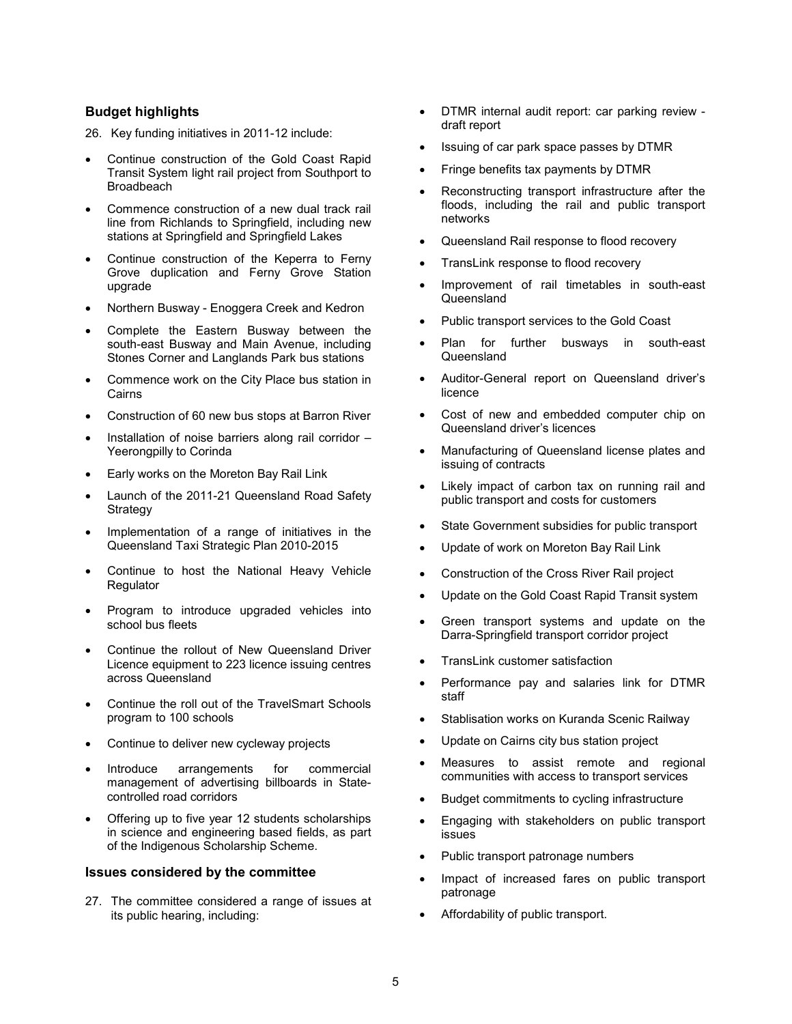### **Budget highlights**

26. Key funding initiatives in 2011-12 include:

- Continue construction of the Gold Coast Rapid Transit System light rail project from Southport to Broadbeach
- Commence construction of a new dual track rail line from Richlands to Springfield, including new stations at Springfield and Springfield Lakes
- Continue construction of the Keperra to Ferny Grove duplication and Ferny Grove Station upgrade
- Northern Busway Enoggera Creek and Kedron
- Complete the Eastern Busway between the south-east Busway and Main Avenue, including Stones Corner and Langlands Park bus stations
- Commence work on the City Place bus station in Cairns
- Construction of 60 new bus stops at Barron River
- Installation of noise barriers along rail corridor Yeerongpilly to Corinda
- Early works on the Moreton Bay Rail Link
- Launch of the 2011-21 Queensland Road Safety Strategy
- Implementation of a range of initiatives in the Queensland Taxi Strategic Plan 2010-2015
- Continue to host the National Heavy Vehicle Regulator
- Program to introduce upgraded vehicles into school bus fleets
- Continue the rollout of New Queensland Driver Licence equipment to 223 licence issuing centres across Queensland
- Continue the roll out of the TravelSmart Schools program to 100 schools
- Continue to deliver new cycleway projects
- Introduce arrangements for commercial management of advertising billboards in Statecontrolled road corridors
- Offering up to five year 12 students scholarships in science and engineering based fields, as part of the Indigenous Scholarship Scheme.

#### **Issues considered by the committee**

27. The committee considered a range of issues at its public hearing, including:

- DTMR internal audit report: car parking review draft report
- Issuing of car park space passes by DTMR
- Fringe benefits tax payments by DTMR
- Reconstructing transport infrastructure after the floods, including the rail and public transport networks
- Queensland Rail response to flood recovery
- TransLink response to flood recovery
- Improvement of rail timetables in south-east Queensland
- Public transport services to the Gold Coast
- Plan for further busways in south-east **Queensland**
- Auditor-General report on Queensland driver's licence
- Cost of new and embedded computer chip on Queensland driver's licences
- Manufacturing of Queensland license plates and issuing of contracts
- Likely impact of carbon tax on running rail and public transport and costs for customers
- State Government subsidies for public transport
- Update of work on Moreton Bay Rail Link
- Construction of the Cross River Rail project
- Update on the Gold Coast Rapid Transit system
- Green transport systems and update on the Darra-Springfield transport corridor project
- TransLink customer satisfaction
- Performance pay and salaries link for DTMR staff
- Stablisation works on Kuranda Scenic Railway
- Update on Cairns city bus station project
- Measures to assist remote and regional communities with access to transport services
- Budget commitments to cycling infrastructure
- Engaging with stakeholders on public transport issues
- Public transport patronage numbers
- Impact of increased fares on public transport patronage
- Affordability of public transport.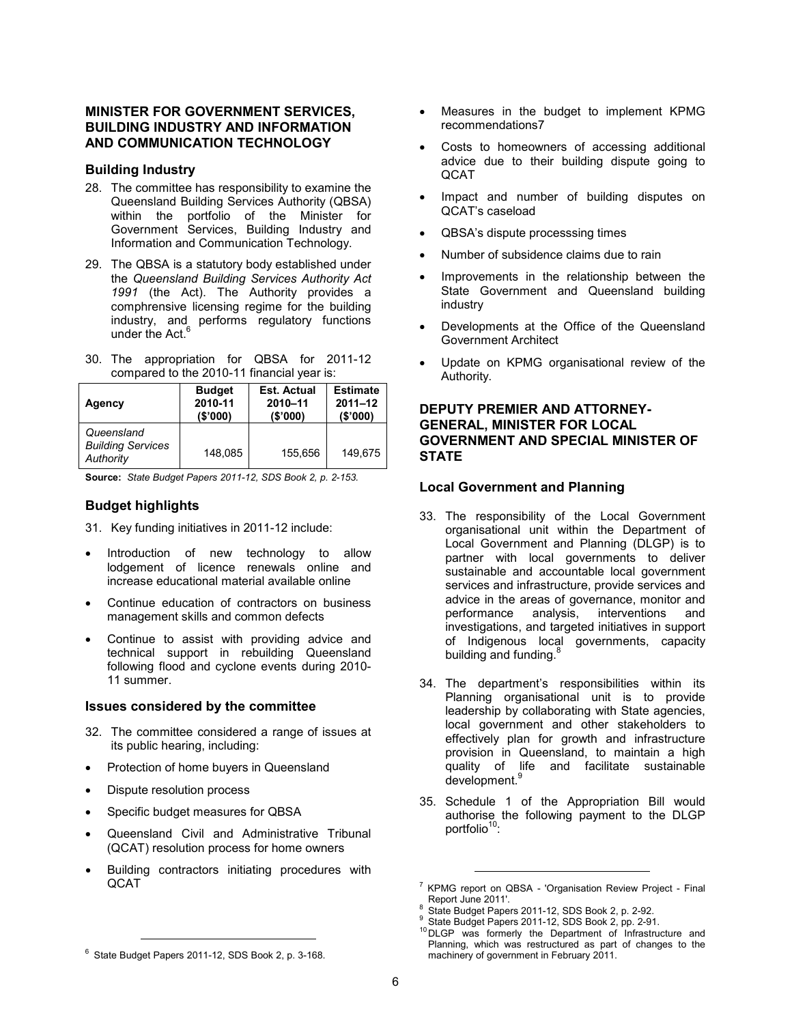### **MINISTER FOR GOVERNMENT SERVICES, BUILDING INDUSTRY AND INFORMATION AND COMMUNICATION TECHNOLOGY**

#### **Building Industry**

- 28. The committee has responsibility to examine the Queensland Building Services Authority (QBSA) within the portfolio of the Minister for Government Services, Building Industry and Information and Communication Technology.
- 29. The QBSA is a statutory body established under the *Queensland Building Services Authority Act 1991* (the Act). The Authority provides a comphrensive licensing regime for the building industry, and performs regulatory functions under the Act.<sup>6</sup>
- 30. The appropriation for QBSA for 2011-12 compared to the 2010-11 financial year is:

| Agency                                              | <b>Budget</b> | <b>Est. Actual</b> | <b>Estimate</b> |
|-----------------------------------------------------|---------------|--------------------|-----------------|
|                                                     | 2010-11       | 2010-11            | $2011 - 12$     |
|                                                     | (S'000)       | (S'000)            | (S'000)         |
| Queensland<br><b>Building Services</b><br>Authority | 148.085       | 155.656            | 149.675         |

**Source:** *State Budget Papers 2011-12, SDS Book 2, p. 2-153.*

# **Budget highlights**

- 31. Key funding initiatives in 2011-12 include:
- Introduction of new technology to allow lodgement of licence renewals online and increase educational material available online
- Continue education of contractors on business management skills and common defects
- Continue to assist with providing advice and technical support in rebuilding Queensland following flood and cyclone events during 2010- 11 summer.

#### **Issues considered by the committee**

- 32. The committee considered a range of issues at its public hearing, including:
- Protection of home buyers in Queensland
- Dispute resolution process

l

- Specific budget measures for QBSA
- Queensland Civil and Administrative Tribunal (QCAT) resolution process for home owners
- Building contractors initiating procedures with QCAT
- Measures in the budget to implement KPMG recommendations7
- Costs to homeowners of accessing additional advice due to their building dispute going to **QCAT**
- Impact and number of building disputes on QCAT's caseload
- QBSA's dispute processsing times
- Number of subsidence claims due to rain
- Improvements in the relationship between the State Government and Queensland building industry
- Developments at the Office of the Queensland Government Architect
- Update on KPMG organisational review of the Authority.

### **DEPUTY PREMIER AND ATTORNEY-GENERAL, MINISTER FOR LOCAL GOVERNMENT AND SPECIAL MINISTER OF STATE**

#### **Local Government and Planning**

- 33. The responsibility of the Local Government organisational unit within the Department of Local Government and Planning (DLGP) is to partner with local governments to deliver sustainable and accountable local government services and infrastructure, provide services and advice in the areas of governance, monitor and performance analysis, interventions and investigations, and targeted initiatives in support of Indigenous local governments, capacity building and funding.<sup>8</sup>
- 34. The department's responsibilities within its Planning organisational unit is to provide leadership by collaborating with State agencies, local government and other stakeholders to effectively plan for growth and infrastructure provision in Queensland, to maintain a high quality of life and facilitate sustainable development.<sup>9</sup>
- 35. Schedule 1 of the Appropriation Bill would authorise the following payment to the DLGP portfolio<sup>10</sup>:

<sup>&</sup>lt;sup>7</sup> KPMG report on QBSA - 'Organisation Review Project - Final Report June 2011'. 8

State Budget Papers 2011-12, SDS Book 2, p. 2-92. 9 State Budget Papers 2011-12, SDS Book 2, pp. 2-91.

<sup>&</sup>lt;sup>10</sup> DLGP was formerly the Department of Infrastructure and Planning, which was restructured as part of changes to the machinery of government in February 2011.

<sup>&</sup>lt;sup>6</sup> State Budget Papers 2011-12, SDS Book 2, p. 3-168.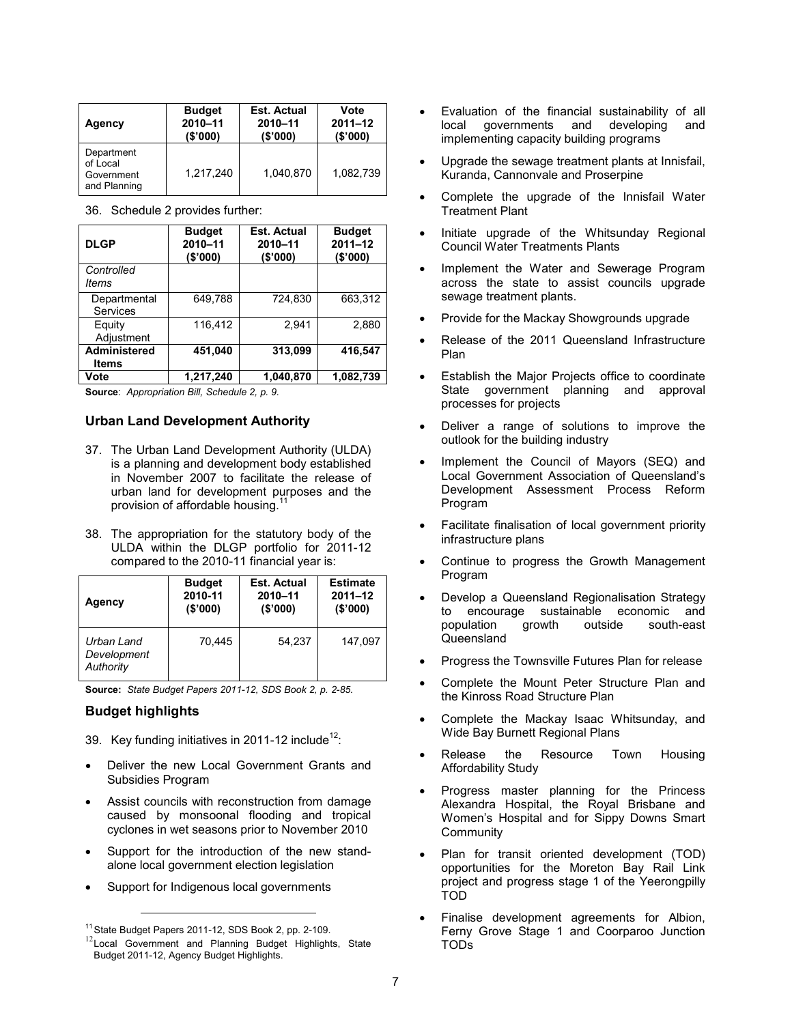| Agency                                               | <b>Budget</b> | Est. Actual | Vote        |
|------------------------------------------------------|---------------|-------------|-------------|
|                                                      | 2010-11       | 2010-11     | $2011 - 12$ |
|                                                      | (\$'000)      | (\$'000)    | (\$'000)    |
| Department<br>of Local<br>Government<br>and Planning | 1.217.240     | 1.040.870   | 1,082,739   |

36. Schedule 2 provides further:

| <b>DLGP</b>                  | <b>Budget</b><br>2010-11<br>(\$'000) | <b>Est. Actual</b><br>2010-11<br>(\$'000) | <b>Budget</b><br>$2011 - 12$<br>(\$'000) |
|------------------------------|--------------------------------------|-------------------------------------------|------------------------------------------|
| Controlled<br>ltems          |                                      |                                           |                                          |
| Departmental<br>Services     | 649,788                              | 724,830                                   | 663,312                                  |
| Equity<br>Adjustment         | 116.412                              | 2.941                                     | 2,880                                    |
| Administered<br><b>Items</b> | 451,040                              | 313,099                                   | 416,547                                  |
| Vote                         | 1.217.240                            | 1.040.870                                 | 1.082.739                                |

**Source**: *Appropriation Bill, Schedule 2, p. 9.*

#### **Urban Land Development Authority**

- 37. The Urban Land Development Authority (ULDA) is a planning and development body established in November 2007 to facilitate the release of urban land for development purposes and the provision of affordable housing.<sup>1</sup>
- 38. The appropriation for the statutory body of the ULDA within the DLGP portfolio for 2011-12 compared to the 2010-11 financial year is:

| Agency                                 | <b>Budget</b> | <b>Est. Actual</b> | <b>Estimate</b> |
|----------------------------------------|---------------|--------------------|-----------------|
|                                        | 2010-11       | 2010-11            | $2011 - 12$     |
|                                        | (S'000)       | (S'000)            | (S'000)         |
| Urban Land<br>Development<br>Authority | 70,445        | 54.237             | 147,097         |

**Source:** *State Budget Papers 2011-12, SDS Book 2, p. 2-85.*

### **Budget highlights**

- 39. Key funding initiatives in 2011-12 include<sup>12</sup>:
- Deliver the new Local Government Grants and Subsidies Program
- Assist councils with reconstruction from damage caused by monsoonal flooding and tropical cyclones in wet seasons prior to November 2010
- Support for the introduction of the new standalone local government election legislation
- Support for Indigenous local governments
- Evaluation of the financial sustainability of all local governments and developing and implementing capacity building programs
- Upgrade the sewage treatment plants at Innisfail, Kuranda, Cannonvale and Proserpine
- Complete the upgrade of the Innisfail Water Treatment Plant
- Initiate upgrade of the Whitsunday Regional Council Water Treatments Plants
- Implement the Water and Sewerage Program across the state to assist councils upgrade sewage treatment plants.
- Provide for the Mackay Showgrounds upgrade
- Release of the 2011 Queensland Infrastructure Plan
- Establish the Major Projects office to coordinate State government planning and approval processes for projects
- Deliver a range of solutions to improve the outlook for the building industry
- Implement the Council of Mayors (SEQ) and Local Government Association of Queensland's Development Assessment Process Reform Program
- Facilitate finalisation of local government priority infrastructure plans
- Continue to progress the Growth Management Program
- Develop a Queensland Regionalisation Strategy to encourage sustainable economic and population growth outside south-east Queensland
- Progress the Townsville Futures Plan for release
- Complete the Mount Peter Structure Plan and the Kinross Road Structure Plan
- Complete the Mackay Isaac Whitsunday, and Wide Bay Burnett Regional Plans
- Release the Resource Town Housing Affordability Study
- Progress master planning for the Princess Alexandra Hospital, the Royal Brisbane and Women's Hospital and for Sippy Downs Smart Community
- Plan for transit oriented development (TOD) opportunities for the Moreton Bay Rail Link project and progress stage 1 of the Yeerongpilly TOD
- Finalise development agreements for Albion, Ferny Grove Stage 1 and Coorparoo Junction TODs

<sup>&</sup>lt;sup>11</sup> State Budget Papers 2011-12, SDS Book 2, pp. 2-109.

<sup>&</sup>lt;sup>12</sup>Local Government and Planning Budget Highlights, State Budget 2011-12, Agency Budget Highlights.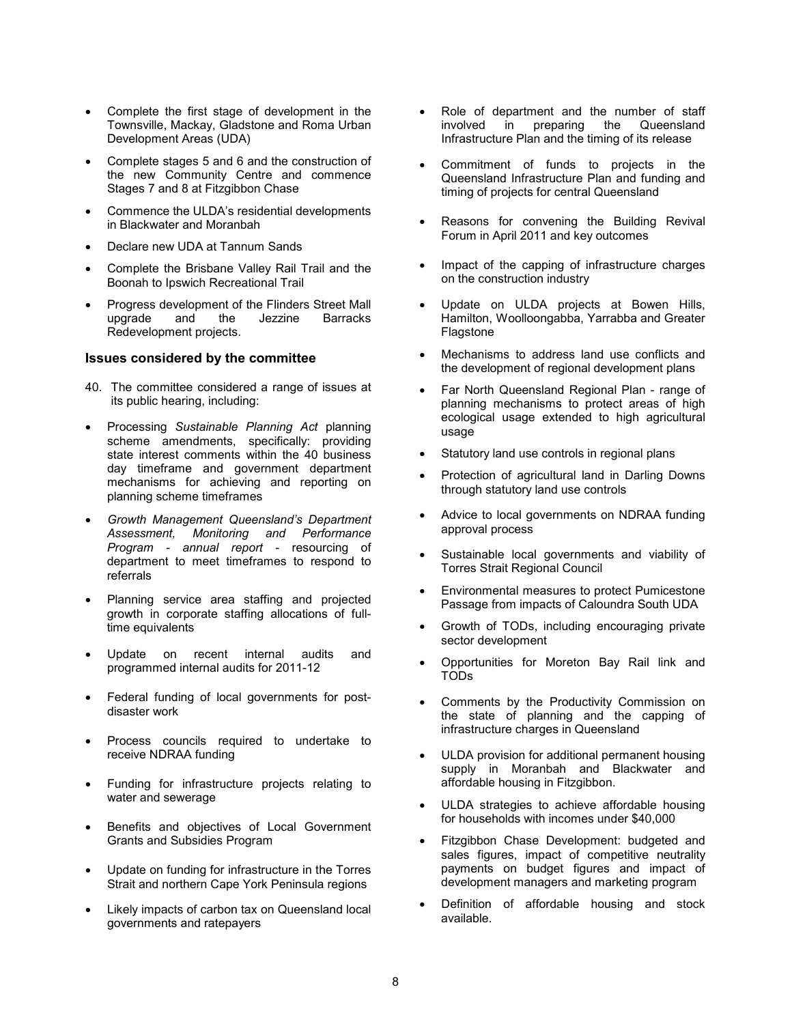- Complete the first stage of development in the Townsville, Mackay, Gladstone and Roma Urban Development Areas (UDA)
- Complete stages 5 and 6 and the construction of the new Community Centre and commence Stages 7 and 8 at Fitzgibbon Chase
- Commence the ULDA's residential developments in Blackwater and Moranbah
- Declare new UDA at Tannum Sands
- Complete the Brisbane Valley Rail Trail and the Boonah to Ipswich Recreational Trail
- Progress development of the Flinders Street Mall **Jezzine** Redevelopment projects.

#### **Issues considered by the committee**

- 40. The committee considered a range of issues at its public hearing, including:
- Processing *Sustainable Planning Act* planning scheme amendments, specifically: providing state interest comments within the 40 business day timeframe and government department mechanisms for achieving and reporting on planning scheme timeframes
- *Growth Management Queensland's Department Assessment, Monitoring and Performance Program - annual report* - resourcing of department to meet timeframes to respond to referrals
- Planning service area staffing and projected growth in corporate staffing allocations of fulltime equivalents
- Update on recent internal audits and programmed internal audits for 2011-12
- Federal funding of local governments for postdisaster work
- Process councils required to undertake to receive NDRAA funding
- Funding for infrastructure projects relating to water and sewerage
- Benefits and objectives of Local Government Grants and Subsidies Program
- Update on funding for infrastructure in the Torres Strait and northern Cape York Peninsula regions
- Likely impacts of carbon tax on Queensland local governments and ratepayers
- Role of department and the number of staff involved in preparing the Queensland Infrastructure Plan and the timing of its release
- Commitment of funds to projects in the Queensland Infrastructure Plan and funding and timing of projects for central Queensland
- Reasons for convening the Building Revival Forum in April 2011 and key outcomes
- Impact of the capping of infrastructure charges on the construction industry
- Update on ULDA projects at Bowen Hills, Hamilton, Woolloongabba, Yarrabba and Greater Flagstone
- Mechanisms to address land use conflicts and the development of regional development plans
- Far North Queensland Regional Plan range of planning mechanisms to protect areas of high ecological usage extended to high agricultural usage
- Statutory land use controls in regional plans
- Protection of agricultural land in Darling Downs through statutory land use controls
- Advice to local governments on NDRAA funding approval process
- Sustainable local governments and viability of Torres Strait Regional Council
- Environmental measures to protect Pumicestone Passage from impacts of Caloundra South UDA
- Growth of TODs, including encouraging private sector development
- Opportunities for Moreton Bay Rail link and TODs
- Comments by the Productivity Commission on the state of planning and the capping of infrastructure charges in Queensland
- ULDA provision for additional permanent housing supply in Moranbah and Blackwater and affordable housing in Fitzgibbon.
- ULDA strategies to achieve affordable housing for households with incomes under \$40,000
- Fitzgibbon Chase Development: budgeted and sales figures, impact of competitive neutrality payments on budget figures and impact of development managers and marketing program
- Definition of affordable housing and stock available.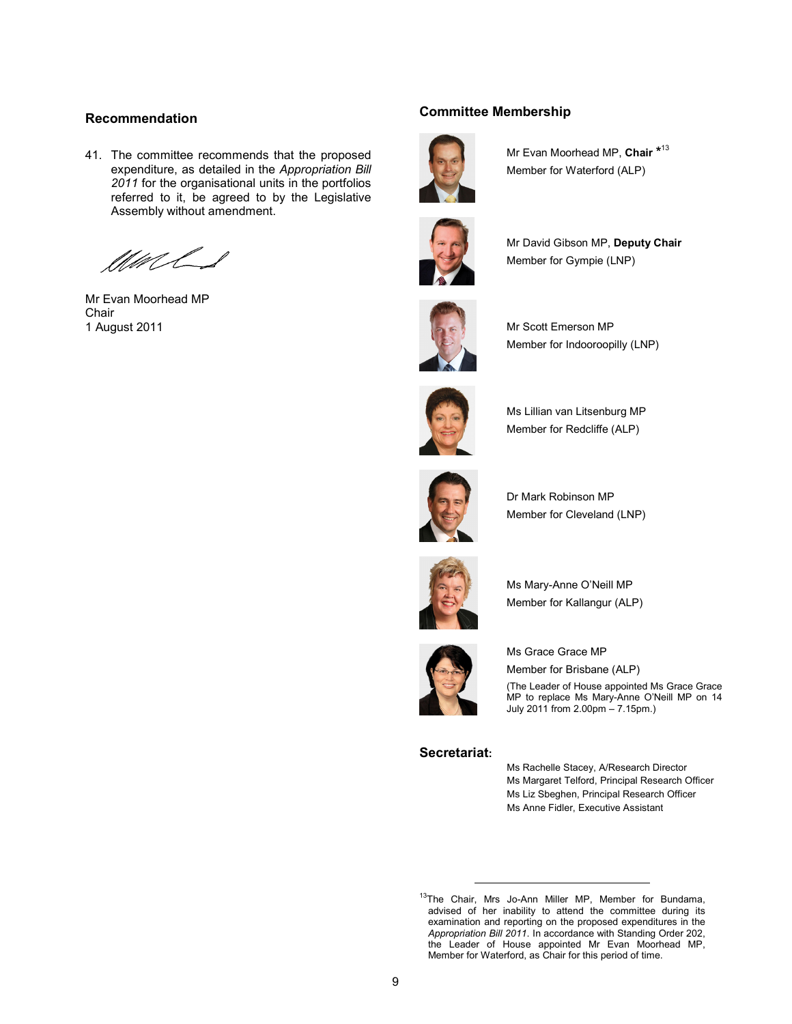#### **Recommendation**

41. The committee recommends that the proposed expenditure, as detailed in the *Appropriation Bill 2011* for the organisational units in the portfolios referred to it, be agreed to by the Legislative Assembly without amendment.

MaCL

Mr Evan Moorhead MP Chair 1 August 2011

#### **Committee Membership**



Mr Evan Moorhead MP, **Chair \*** 13 Member for Waterford (ALP)



Mr David Gibson MP, **Deputy Chair** Member for Gympie (LNP)



Mr Scott Emerson MP Member for Indooroopilly (LNP)



Ms Lillian van Litsenburg MP Member for Redcliffe (ALP)



Dr Mark Robinson MP Member for Cleveland (LNP)



Ms Mary-Anne O'Neill MP Member for Kallangur (ALP)



Ms Grace Grace MP Member for Brisbane (ALP) (The Leader of House appointed Ms Grace Grace MP to replace Ms Mary-Anne O'Neill MP on 14 July 2011 from 2.00pm – 7.15pm.)

#### **Secretariat:**

l

Ms Rachelle Stacey, A/Research Director Ms Margaret Telford, Principal Research Officer Ms Liz Sbeghen, Principal Research Officer Ms Anne Fidler, Executive Assistant

<sup>&</sup>lt;sup>13</sup>The Chair, Mrs Jo-Ann Miller MP, Member for Bundama, advised of her inability to attend the committee during its examination and reporting on the proposed expenditures in the *Appropriation Bill 2011*. In accordance with Standing Order 202, the Leader of House appointed Mr Evan Moorhead MP, Member for Waterford, as Chair for this period of time.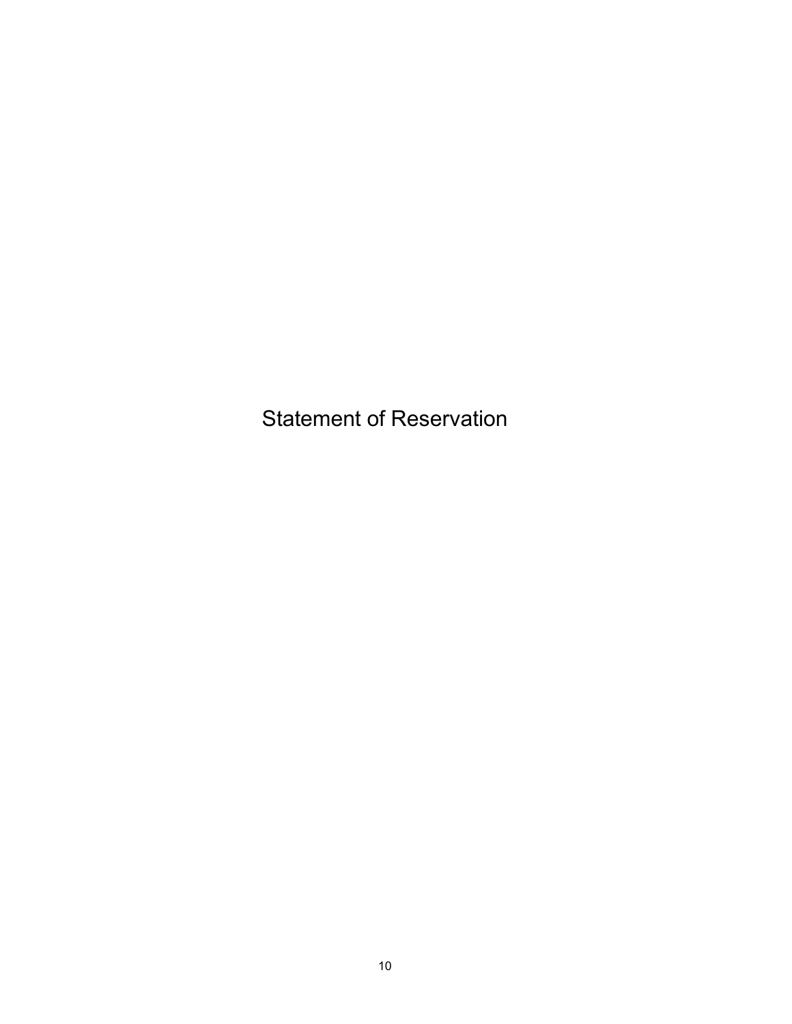Statement of Reservation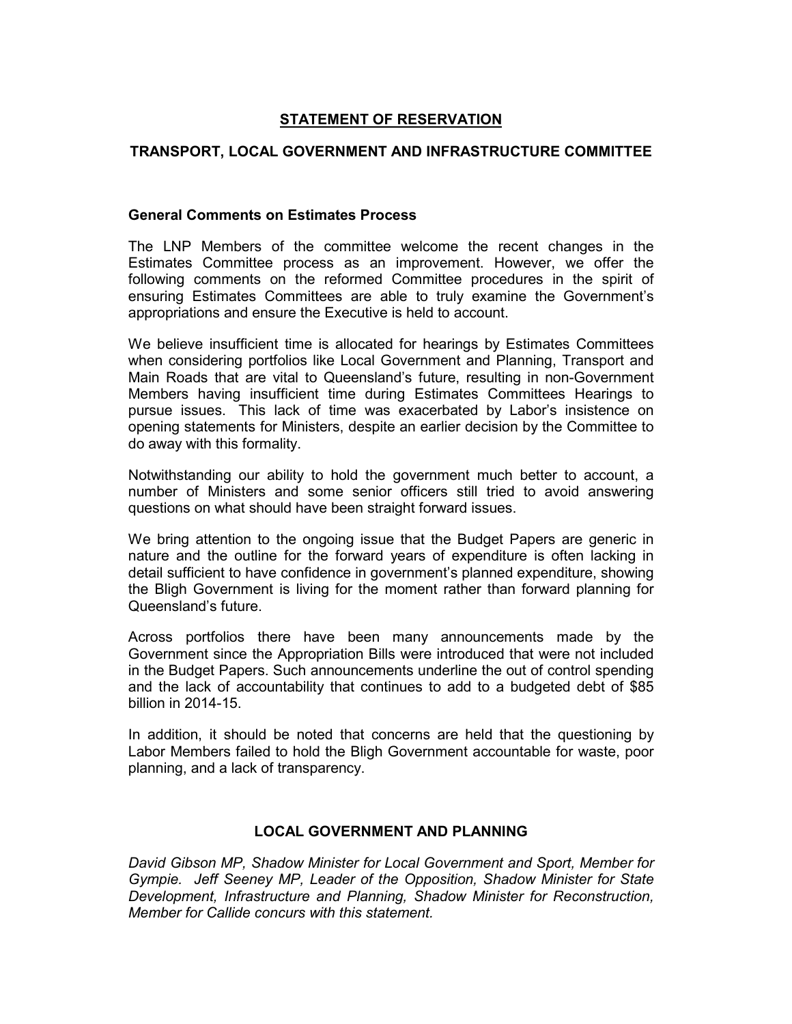# **STATEMENT OF RESERVATION**

# **TRANSPORT, LOCAL GOVERNMENT AND INFRASTRUCTURE COMMITTEE**

# **General Comments on Estimates Process**

The LNP Members of the committee welcome the recent changes in the Estimates Committee process as an improvement. However, we offer the following comments on the reformed Committee procedures in the spirit of ensuring Estimates Committees are able to truly examine the Government's appropriations and ensure the Executive is held to account.

We believe insufficient time is allocated for hearings by Estimates Committees when considering portfolios like Local Government and Planning, Transport and Main Roads that are vital to Queensland's future, resulting in non-Government Members having insufficient time during Estimates Committees Hearings to pursue issues. This lack of time was exacerbated by Labor's insistence on opening statements for Ministers, despite an earlier decision by the Committee to do away with this formality.

Notwithstanding our ability to hold the government much better to account, a number of Ministers and some senior officers still tried to avoid answering questions on what should have been straight forward issues.

We bring attention to the ongoing issue that the Budget Papers are generic in nature and the outline for the forward years of expenditure is often lacking in detail sufficient to have confidence in government's planned expenditure, showing the Bligh Government is living for the moment rather than forward planning for Queensland's future.

Across portfolios there have been many announcements made by the Government since the Appropriation Bills were introduced that were not included in the Budget Papers. Such announcements underline the out of control spending and the lack of accountability that continues to add to a budgeted debt of \$85 billion in 2014-15.

In addition, it should be noted that concerns are held that the questioning by Labor Members failed to hold the Bligh Government accountable for waste, poor planning, and a lack of transparency.

# **LOCAL GOVERNMENT AND PLANNING**

*David Gibson MP, Shadow Minister for Local Government and Sport, Member for Gympie. Jeff Seeney MP, Leader of the Opposition, Shadow Minister for State Development, Infrastructure and Planning, Shadow Minister for Reconstruction, Member for Callide concurs with this statement.*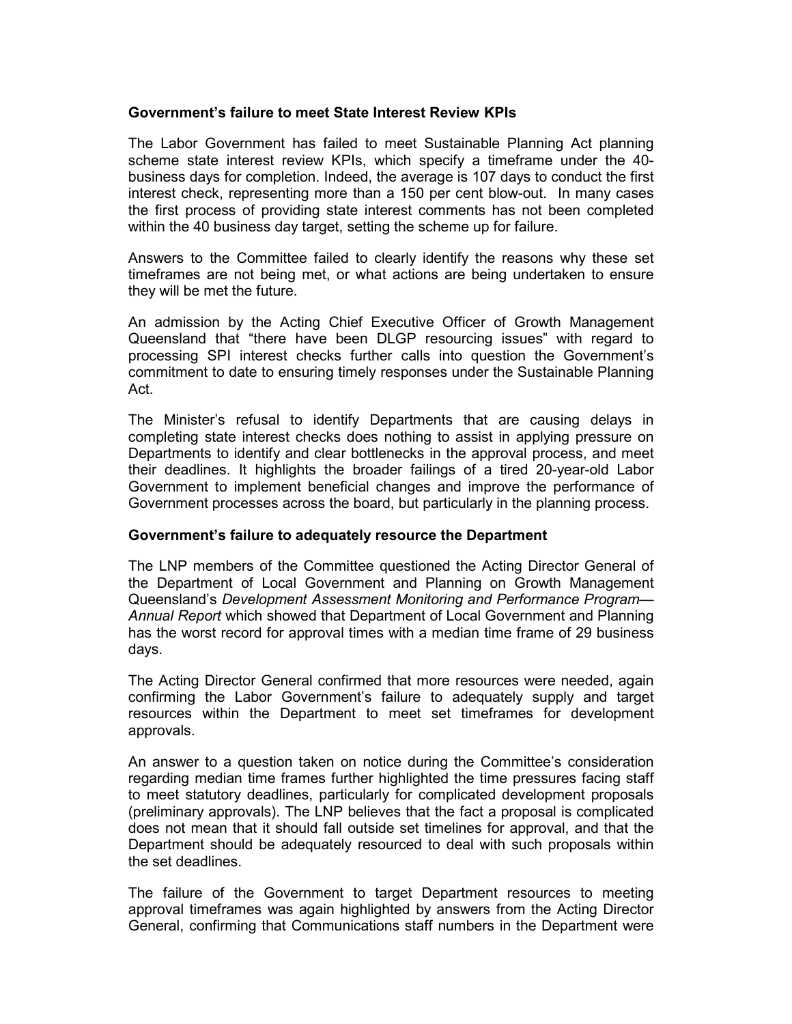# **Government's failure to meet State Interest Review KPIs**

The Labor Government has failed to meet Sustainable Planning Act planning scheme state interest review KPIs, which specify a timeframe under the 40 business days for completion. Indeed, the average is 107 days to conduct the first interest check, representing more than a 150 per cent blow-out. In many cases the first process of providing state interest comments has not been completed within the 40 business day target, setting the scheme up for failure.

Answers to the Committee failed to clearly identify the reasons why these set timeframes are not being met, or what actions are being undertaken to ensure they will be met the future.

An admission by the Acting Chief Executive Officer of Growth Management Queensland that "there have been DLGP resourcing issues" with regard to processing SPI interest checks further calls into question the Government's commitment to date to ensuring timely responses under the Sustainable Planning Act.

The Minister's refusal to identify Departments that are causing delays in completing state interest checks does nothing to assist in applying pressure on Departments to identify and clear bottlenecks in the approval process, and meet their deadlines. It highlights the broader failings of a tired 20-year-old Labor Government to implement beneficial changes and improve the performance of Government processes across the board, but particularly in the planning process.

# **Government's failure to adequately resource the Department**

The LNP members of the Committee questioned the Acting Director General of the Department of Local Government and Planning on Growth Management Queensland's *Development Assessment Monitoring and Performance Program— Annual Report* which showed that Department of Local Government and Planning has the worst record for approval times with a median time frame of 29 business days.

The Acting Director General confirmed that more resources were needed, again confirming the Labor Government's failure to adequately supply and target resources within the Department to meet set timeframes for development approvals.

An answer to a question taken on notice during the Committee's consideration regarding median time frames further highlighted the time pressures facing staff to meet statutory deadlines, particularly for complicated development proposals (preliminary approvals). The LNP believes that the fact a proposal is complicated does not mean that it should fall outside set timelines for approval, and that the Department should be adequately resourced to deal with such proposals within the set deadlines.

The failure of the Government to target Department resources to meeting approval timeframes was again highlighted by answers from the Acting Director General, confirming that Communications staff numbers in the Department were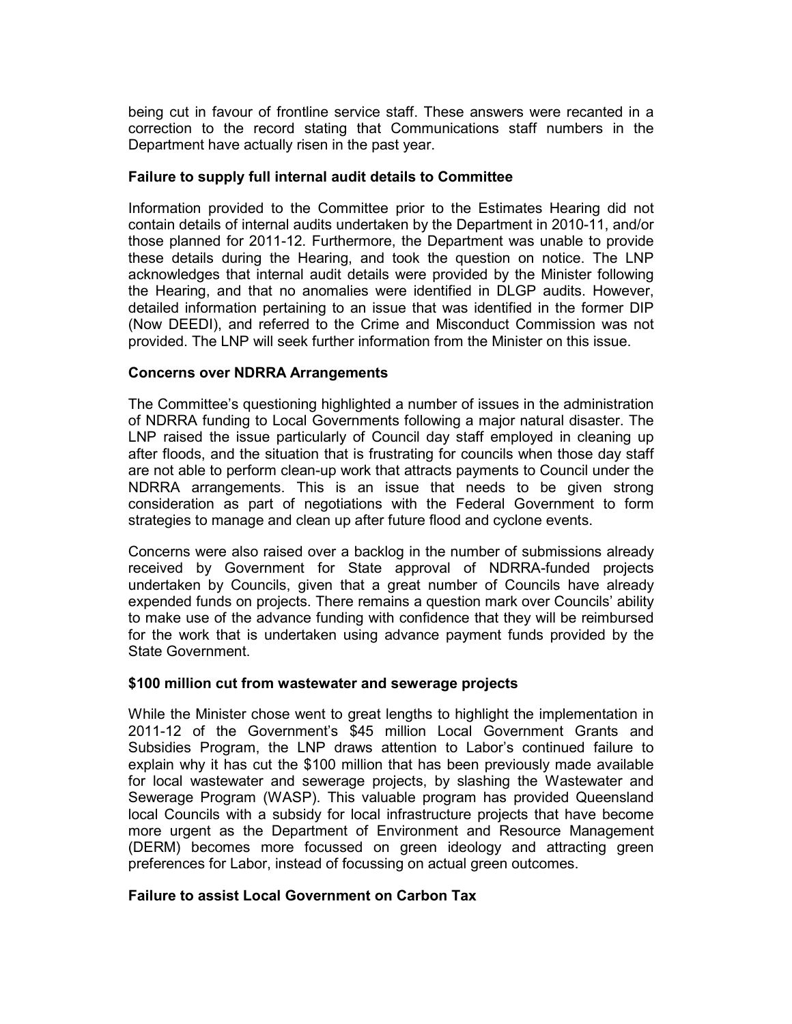being cut in favour of frontline service staff. These answers were recanted in a correction to the record stating that Communications staff numbers in the Department have actually risen in the past year.

# **Failure to supply full internal audit details to Committee**

Information provided to the Committee prior to the Estimates Hearing did not contain details of internal audits undertaken by the Department in 2010-11, and/or those planned for 2011-12. Furthermore, the Department was unable to provide these details during the Hearing, and took the question on notice. The LNP acknowledges that internal audit details were provided by the Minister following the Hearing, and that no anomalies were identified in DLGP audits. However, detailed information pertaining to an issue that was identified in the former DIP (Now DEEDI), and referred to the Crime and Misconduct Commission was not provided. The LNP will seek further information from the Minister on this issue.

# **Concerns over NDRRA Arrangements**

The Committee's questioning highlighted a number of issues in the administration of NDRRA funding to Local Governments following a major natural disaster. The LNP raised the issue particularly of Council day staff employed in cleaning up after floods, and the situation that is frustrating for councils when those day staff are not able to perform clean-up work that attracts payments to Council under the NDRRA arrangements. This is an issue that needs to be given strong consideration as part of negotiations with the Federal Government to form strategies to manage and clean up after future flood and cyclone events.

Concerns were also raised over a backlog in the number of submissions already received by Government for State approval of NDRRA-funded projects undertaken by Councils, given that a great number of Councils have already expended funds on projects. There remains a question mark over Councils' ability to make use of the advance funding with confidence that they will be reimbursed for the work that is undertaken using advance payment funds provided by the State Government.

# **\$100 million cut from wastewater and sewerage projects**

While the Minister chose went to great lengths to highlight the implementation in 2011-12 of the Government's \$45 million Local Government Grants and Subsidies Program, the LNP draws attention to Labor's continued failure to explain why it has cut the \$100 million that has been previously made available for local wastewater and sewerage projects, by slashing the Wastewater and Sewerage Program (WASP). This valuable program has provided Queensland local Councils with a subsidy for local infrastructure projects that have become more urgent as the Department of Environment and Resource Management (DERM) becomes more focussed on green ideology and attracting green preferences for Labor, instead of focussing on actual green outcomes.

# **Failure to assist Local Government on Carbon Tax**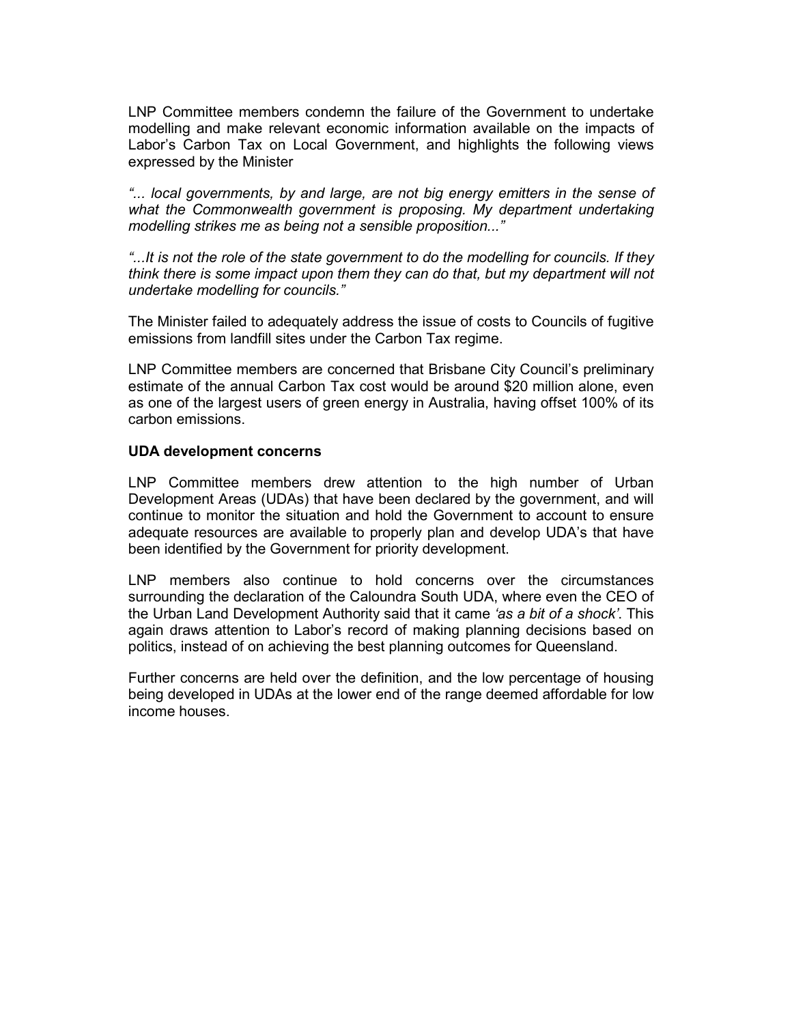LNP Committee members condemn the failure of the Government to undertake modelling and make relevant economic information available on the impacts of Labor's Carbon Tax on Local Government, and highlights the following views expressed by the Minister

*"... local governments, by and large, are not big energy emitters in the sense of what the Commonwealth government is proposing. My department undertaking modelling strikes me as being not a sensible proposition..."* 

*"...It is not the role of the state government to do the modelling for councils. If they think there is some impact upon them they can do that, but my department will not undertake modelling for councils."* 

The Minister failed to adequately address the issue of costs to Councils of fugitive emissions from landfill sites under the Carbon Tax regime.

LNP Committee members are concerned that Brisbane City Council's preliminary estimate of the annual Carbon Tax cost would be around \$20 million alone, even as one of the largest users of green energy in Australia, having offset 100% of its carbon emissions.

# **UDA development concerns**

LNP Committee members drew attention to the high number of Urban Development Areas (UDAs) that have been declared by the government, and will continue to monitor the situation and hold the Government to account to ensure adequate resources are available to properly plan and develop UDA's that have been identified by the Government for priority development.

LNP members also continue to hold concerns over the circumstances surrounding the declaration of the Caloundra South UDA, where even the CEO of the Urban Land Development Authority said that it came *'as a bit of a shock'*. This again draws attention to Labor's record of making planning decisions based on politics, instead of on achieving the best planning outcomes for Queensland.

Further concerns are held over the definition, and the low percentage of housing being developed in UDAs at the lower end of the range deemed affordable for low income houses.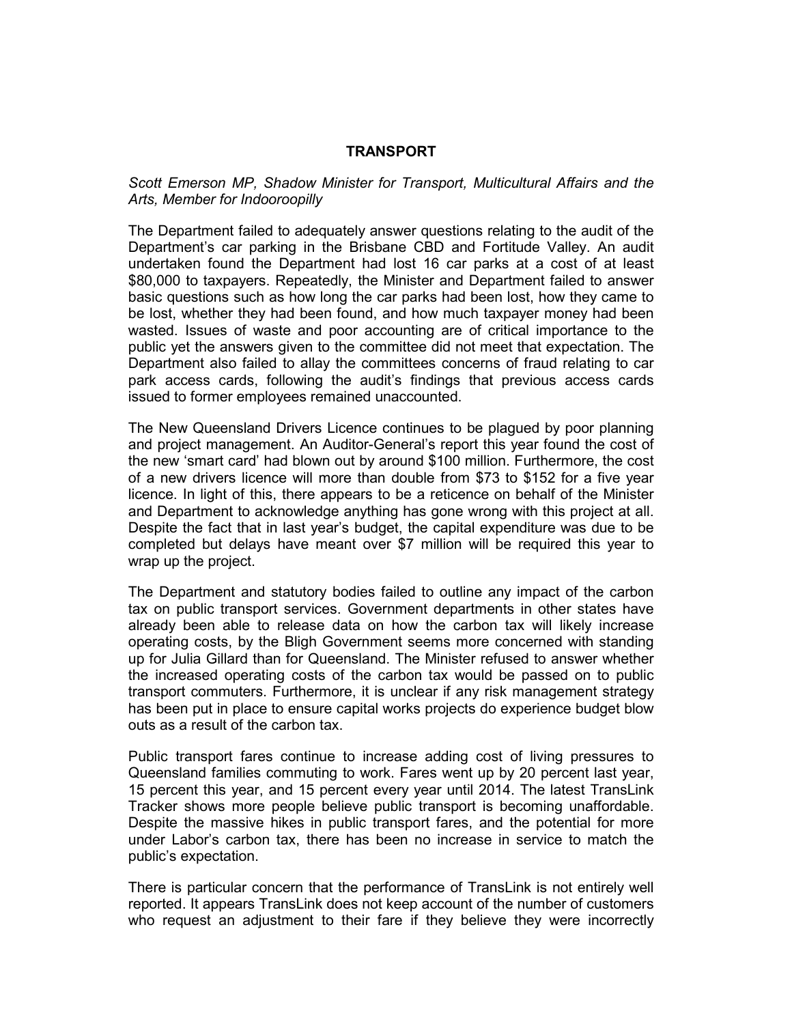# **TRANSPORT**

*Scott Emerson MP, Shadow Minister for Transport, Multicultural Affairs and the Arts, Member for Indooroopilly* 

The Department failed to adequately answer questions relating to the audit of the Department's car parking in the Brisbane CBD and Fortitude Valley. An audit undertaken found the Department had lost 16 car parks at a cost of at least \$80,000 to taxpayers. Repeatedly, the Minister and Department failed to answer basic questions such as how long the car parks had been lost, how they came to be lost, whether they had been found, and how much taxpayer money had been wasted. Issues of waste and poor accounting are of critical importance to the public yet the answers given to the committee did not meet that expectation. The Department also failed to allay the committees concerns of fraud relating to car park access cards, following the audit's findings that previous access cards issued to former employees remained unaccounted.

The New Queensland Drivers Licence continues to be plagued by poor planning and project management. An Auditor-General's report this year found the cost of the new 'smart card' had blown out by around \$100 million. Furthermore, the cost of a new drivers licence will more than double from \$73 to \$152 for a five year licence. In light of this, there appears to be a reticence on behalf of the Minister and Department to acknowledge anything has gone wrong with this project at all. Despite the fact that in last year's budget, the capital expenditure was due to be completed but delays have meant over \$7 million will be required this year to wrap up the project.

The Department and statutory bodies failed to outline any impact of the carbon tax on public transport services. Government departments in other states have already been able to release data on how the carbon tax will likely increase operating costs, by the Bligh Government seems more concerned with standing up for Julia Gillard than for Queensland. The Minister refused to answer whether the increased operating costs of the carbon tax would be passed on to public transport commuters. Furthermore, it is unclear if any risk management strategy has been put in place to ensure capital works projects do experience budget blow outs as a result of the carbon tax.

Public transport fares continue to increase adding cost of living pressures to Queensland families commuting to work. Fares went up by 20 percent last year, 15 percent this year, and 15 percent every year until 2014. The latest TransLink Tracker shows more people believe public transport is becoming unaffordable. Despite the massive hikes in public transport fares, and the potential for more under Labor's carbon tax, there has been no increase in service to match the public's expectation.

There is particular concern that the performance of TransLink is not entirely well reported. It appears TransLink does not keep account of the number of customers who request an adjustment to their fare if they believe they were incorrectly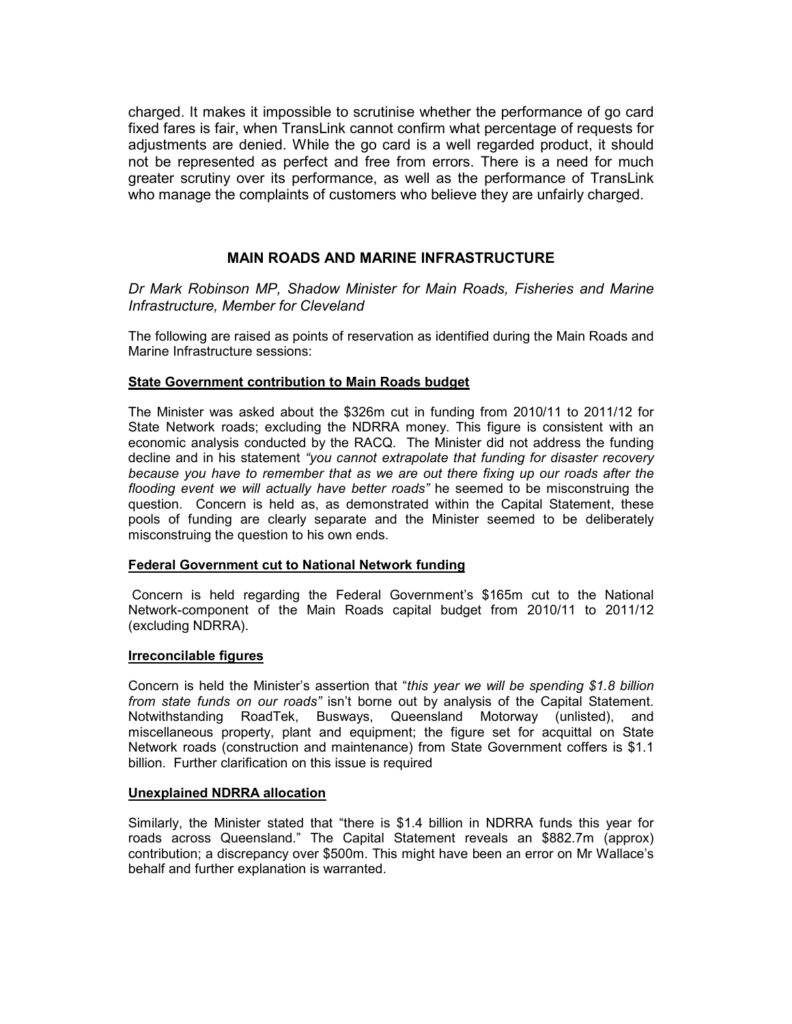charged. It makes it impossible to scrutinise whether the performance of go card fixed fares is fair, when TransLink cannot confirm what percentage of requests for adjustments are denied. While the go card is a well regarded product, it should not be represented as perfect and free from errors. There is a need for much greater scrutiny over its performance, as well as the performance of TransLink who manage the complaints of customers who believe they are unfairly charged.

# **MAIN ROADS AND MARINE INFRASTRUCTURE**

*Dr Mark Robinson MP, Shadow Minister for Main Roads, Fisheries and Marine Infrastructure, Member for Cleveland* 

The following are raised as points of reservation as identified during the Main Roads and Marine Infrastructure sessions:

### **State Government contribution to Main Roads budget**

The Minister was asked about the \$326m cut in funding from 2010/11 to 2011/12 for State Network roads; excluding the NDRRA money. This figure is consistent with an economic analysis conducted by the RACQ. The Minister did not address the funding decline and in his statement *"you cannot extrapolate that funding for disaster recovery because you have to remember that as we are out there fixing up our roads after the flooding event we will actually have better roads"* he seemed to be misconstruing the question. Concern is held as, as demonstrated within the Capital Statement, these pools of funding are clearly separate and the Minister seemed to be deliberately misconstruing the question to his own ends.

### **Federal Government cut to National Network funding**

 Concern is held regarding the Federal Government's \$165m cut to the National Network-component of the Main Roads capital budget from 2010/11 to 2011/12 (excluding NDRRA).

### **Irreconcilable figures**

Concern is held the Minister's assertion that "*this year we will be spending \$1.8 billion from state funds on our roads"* isn't borne out by analysis of the Capital Statement. Notwithstanding RoadTek, Busways, Queensland Motorway (unlisted), and miscellaneous property, plant and equipment; the figure set for acquittal on State Network roads (construction and maintenance) from State Government coffers is \$1.1 billion. Further clarification on this issue is required

# **Unexplained NDRRA allocation**

Similarly, the Minister stated that "there is \$1.4 billion in NDRRA funds this year for roads across Queensland." The Capital Statement reveals an \$882.7m (approx) contribution; a discrepancy over \$500m. This might have been an error on Mr Wallace's behalf and further explanation is warranted.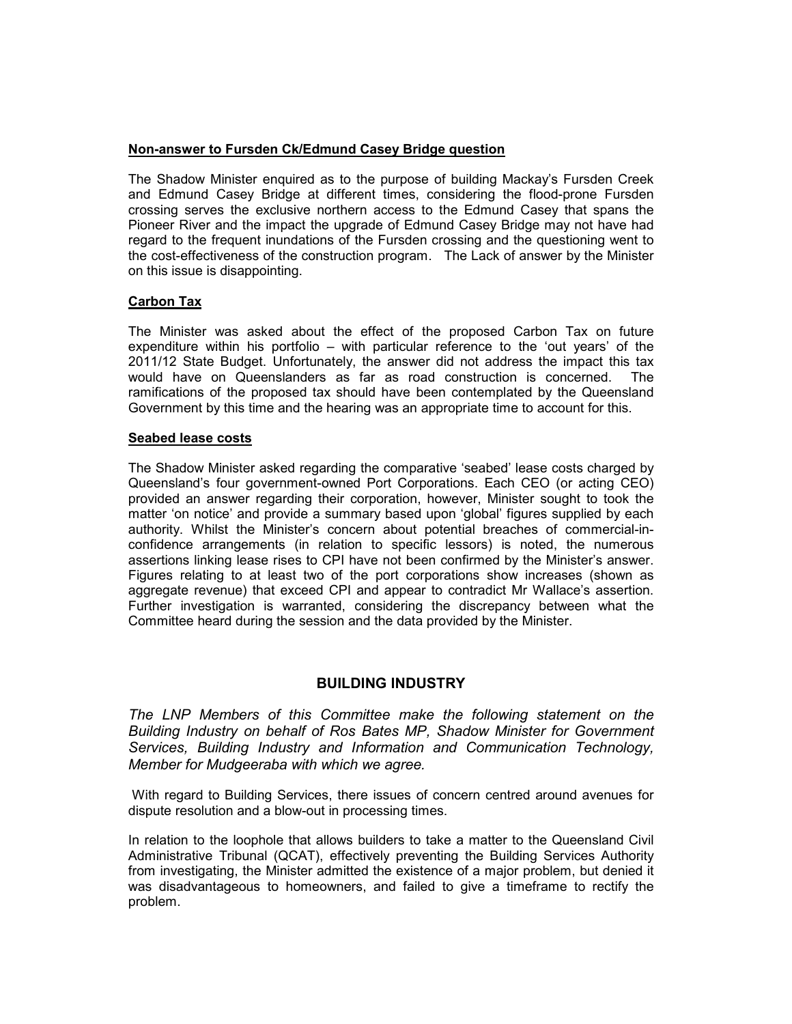### **Non-answer to Fursden Ck/Edmund Casey Bridge question**

The Shadow Minister enquired as to the purpose of building Mackay's Fursden Creek and Edmund Casey Bridge at different times, considering the flood-prone Fursden crossing serves the exclusive northern access to the Edmund Casey that spans the Pioneer River and the impact the upgrade of Edmund Casey Bridge may not have had regard to the frequent inundations of the Fursden crossing and the questioning went to the cost-effectiveness of the construction program. The Lack of answer by the Minister on this issue is disappointing.

# **Carbon Tax**

The Minister was asked about the effect of the proposed Carbon Tax on future expenditure within his portfolio – with particular reference to the 'out years' of the 2011/12 State Budget. Unfortunately, the answer did not address the impact this tax would have on Queenslanders as far as road construction is concerned. The ramifications of the proposed tax should have been contemplated by the Queensland Government by this time and the hearing was an appropriate time to account for this.

### **Seabed lease costs**

The Shadow Minister asked regarding the comparative 'seabed' lease costs charged by Queensland's four government-owned Port Corporations. Each CEO (or acting CEO) provided an answer regarding their corporation, however, Minister sought to took the matter 'on notice' and provide a summary based upon 'global' figures supplied by each authority. Whilst the Minister's concern about potential breaches of commercial-inconfidence arrangements (in relation to specific lessors) is noted, the numerous assertions linking lease rises to CPI have not been confirmed by the Minister's answer. Figures relating to at least two of the port corporations show increases (shown as aggregate revenue) that exceed CPI and appear to contradict Mr Wallace's assertion. Further investigation is warranted, considering the discrepancy between what the Committee heard during the session and the data provided by the Minister.

# **BUILDING INDUSTRY**

*The LNP Members of this Committee make the following statement on the Building Industry on behalf of Ros Bates MP, Shadow Minister for Government Services, Building Industry and Information and Communication Technology, Member for Mudgeeraba with which we agree.* 

 With regard to Building Services, there issues of concern centred around avenues for dispute resolution and a blow-out in processing times.

In relation to the loophole that allows builders to take a matter to the Queensland Civil Administrative Tribunal (QCAT), effectively preventing the Building Services Authority from investigating, the Minister admitted the existence of a major problem, but denied it was disadvantageous to homeowners, and failed to give a timeframe to rectify the problem.